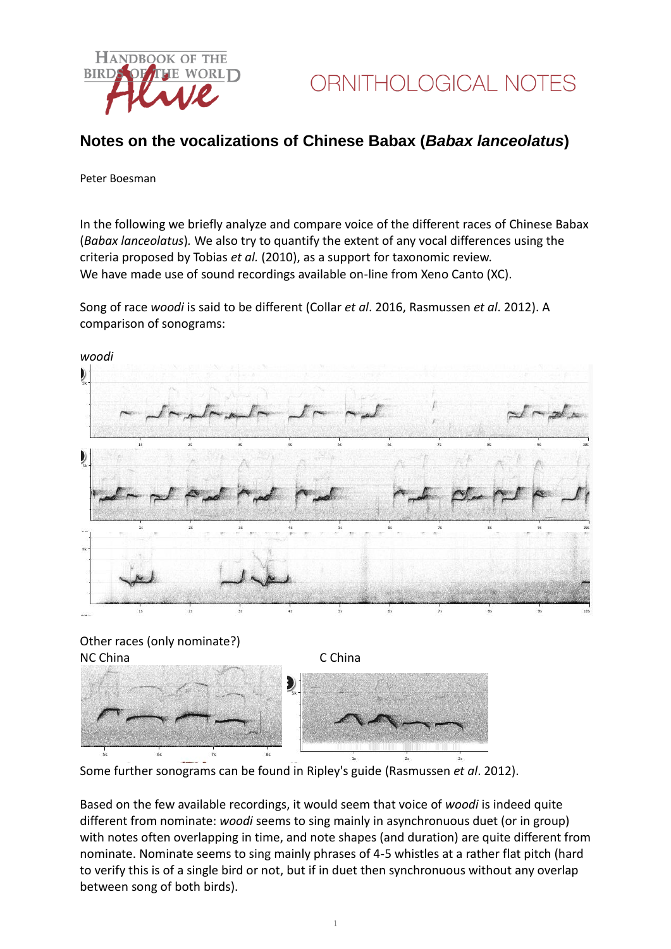

## **Notes on the vocalizations of Chinese Babax (***Babax lanceolatus***)**

## Peter Boesman

In the following we briefly analyze and compare voice of the different races of Chinese Babax (*Babax lanceolatus*)*.* We also try to quantify the extent of any vocal differences using the criteria proposed by Tobias *et al.* (2010), as a support for taxonomic review. We have made use of sound recordings available on-line from Xeno Canto (XC).

Song of race *woodi* is said to be different (Collar *et al*. 2016, Rasmussen *et al*. 2012). A comparison of sonograms:



Some further sonograms can be found in Ripley's guide (Rasmussen *et al*. 2012).

Based on the few available recordings, it would seem that voice of *woodi* is indeed quite different from nominate: *woodi* seems to sing mainly in asynchronuous duet (or in group) with notes often overlapping in time, and note shapes (and duration) are quite different from nominate. Nominate seems to sing mainly phrases of 4-5 whistles at a rather flat pitch (hard to verify this is of a single bird or not, but if in duet then synchronuous without any overlap between song of both birds).